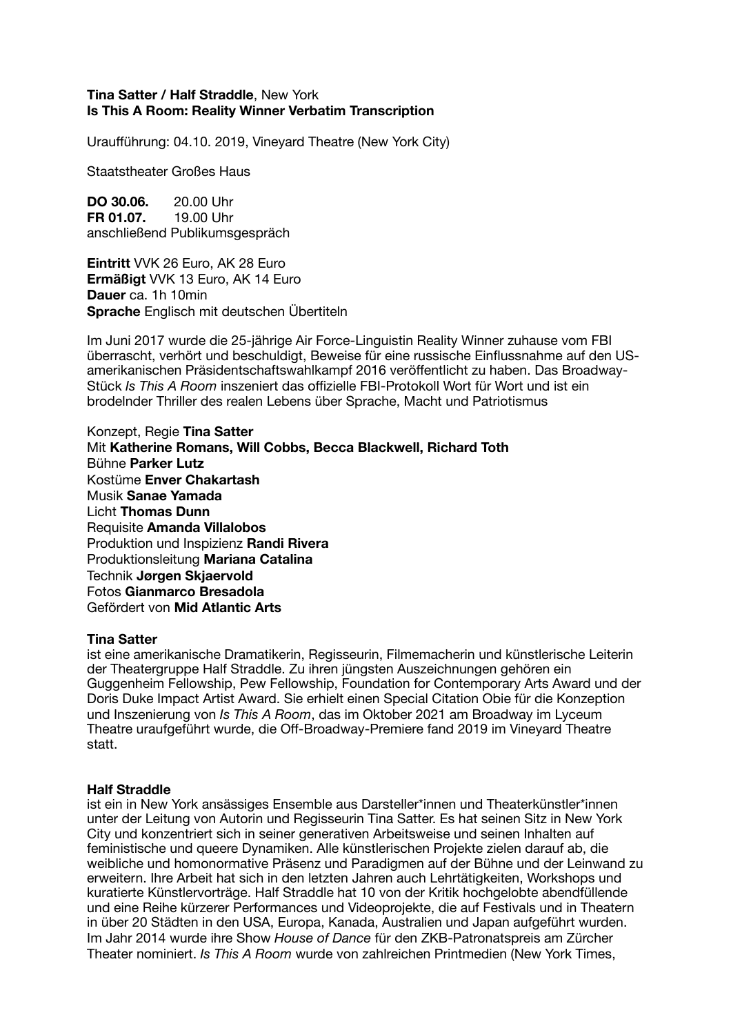## **Tina Satter / Half Straddle**, New York **Is This A Room: Reality Winner Verbatim Transcription**

Uraufführung: 04.10. 2019, Vineyard Theatre (New York City)

Staatstheater Großes Haus

**DO 30.06.** 20.00 Uhr **FR 01.07.** 19.00 Uhr anschließend Publikumsgespräch

**Eintritt** VVK 26 Euro, AK 28 Euro **Ermäßigt** VVK 13 Euro, AK 14 Euro **Dauer** ca. 1h 10min **Sprache** Englisch mit deutschen Übertiteln

Im Juni 2017 wurde die 25-jährige Air Force-Linguistin Reality Winner zuhause vom FBI überrascht, verhört und beschuldigt, Beweise für eine russische Einflussnahme auf den USamerikanischen Präsidentschaftswahlkampf 2016 veröffentlicht zu haben. Das Broadway-Stück *Is This A Room* inszeniert das offizielle FBI-Protokoll Wort für Wort und ist ein brodelnder Thriller des realen Lebens über Sprache, Macht und Patriotismus

Konzept, Regie **Tina Satter** Mit **Katherine Romans, Will Cobbs, Becca Blackwell, Richard Toth** Bühne **Parker Lutz**  Kostüme **Enver Chakartash** Musik **Sanae Yamada** Licht **Thomas Dunn** Requisite **Amanda Villalobos** Produktion und Inspizienz **Randi Rivera** Produktionsleitung **Mariana Catalina** Technik **Jørgen Skjaervold** Fotos **Gianmarco Bresadola** Gefördert von **Mid Atlantic Arts**

## **Tina Satter**

ist eine amerikanische Dramatikerin, Regisseurin, Filmemacherin und künstlerische Leiterin der Theatergruppe Half Straddle. Zu ihren jüngsten Auszeichnungen gehören ein Guggenheim Fellowship, Pew Fellowship, Foundation for Contemporary Arts Award und der Doris Duke Impact Artist Award. Sie erhielt einen Special Citation Obie für die Konzeption und Inszenierung von *Is This A Room*, das im Oktober 2021 am Broadway im Lyceum Theatre uraufgeführt wurde, die Off-Broadway-Premiere fand 2019 im Vineyard Theatre statt.

## **Half Straddle**

ist ein in New York ansässiges Ensemble aus Darsteller\*innen und Theaterkünstler\*innen unter der Leitung von Autorin und Regisseurin Tina Satter. Es hat seinen Sitz in New York City und konzentriert sich in seiner generativen Arbeitsweise und seinen Inhalten auf feministische und queere Dynamiken. Alle künstlerischen Projekte zielen darauf ab, die weibliche und homonormative Präsenz und Paradigmen auf der Bühne und der Leinwand zu erweitern. Ihre Arbeit hat sich in den letzten Jahren auch Lehrtätigkeiten, Workshops und kuratierte Künstlervorträge. Half Straddle hat 10 von der Kritik hochgelobte abendfüllende und eine Reihe kürzerer Performances und Videoprojekte, die auf Festivals und in Theatern in über 20 Städten in den USA, Europa, Kanada, Australien und Japan aufgeführt wurden. Im Jahr 2014 wurde ihre Show *House of Dance* für den ZKB-Patronatspreis am Zürcher Theater nominiert. *Is This A Room* wurde von zahlreichen Printmedien (New York Times,